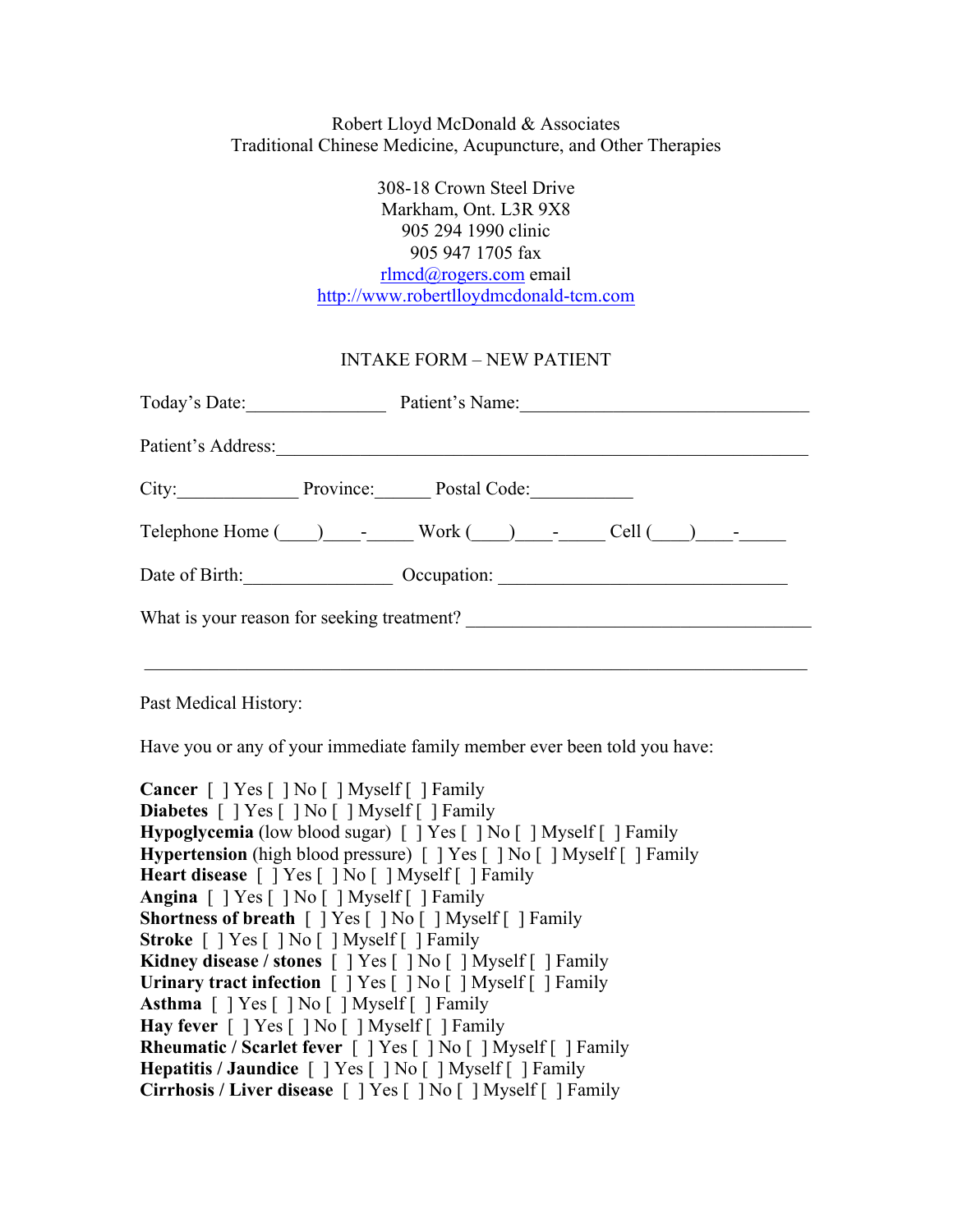## Robert Lloyd McDonald & Associates Traditional Chinese Medicine, Acupuncture, and Other Therapies

308-18 Crown Steel Drive Markham, Ont. L3R 9X8 905 294 1990 clinic 905 947 1705 fax rlmcd@rogers.com email http://www.robertlloydmcdonald-tcm.com

## INTAKE FORM – NEW PATIENT

| Today's Date:                                                                                   |  | Patient's Name: |  |  |  |  |
|-------------------------------------------------------------------------------------------------|--|-----------------|--|--|--|--|
| Patient's Address:                                                                              |  |                 |  |  |  |  |
| City: Province: Postal Code:                                                                    |  |                 |  |  |  |  |
| $\text{Telephone Home }(\_\_\_\_\_\_\_$ Work $(\_\_\_\_\_\_\_\_\_\_$ Cell $(\_\_\_\_\_\_\_\_\_$ |  |                 |  |  |  |  |
| Date of Birth:                                                                                  |  | Occupation:     |  |  |  |  |
| What is your reason for seeking treatment?                                                      |  |                 |  |  |  |  |
|                                                                                                 |  |                 |  |  |  |  |

Past Medical History:

Have you or any of your immediate family member ever been told you have:

**Cancer**  $\lceil \ \rceil$  Yes  $\lceil \ \rceil$  No  $\lceil \ \rceil$  Myself  $\lceil \ \rceil$  Family **Diabetes** [ ] Yes [ ] No [ ] Myself [ ] Family **Hypoglycemia** (low blood sugar) [ ] Yes [ ] No [ ] Myself [ ] Family **Hypertension** (high blood pressure) [ ] Yes [ ] No [ ] Myself [ ] Family **Heart disease** [ ] Yes [ ] No [ ] Myself [ ] Family **Angina** [ ] Yes [ ] No [ ] Myself [ ] Family **Shortness of breath** [ ] Yes [ ] No [ ] Myself [ ] Family **Stroke** [ ] Yes [ ] No [ ] Myself [ ] Family **Kidney disease / stones** [ ] Yes [ ] No [ ] Myself [ ] Family **Urinary tract infection** [ ] Yes [ ] No [ ] Myself [ ] Family **Asthma** [ ] Yes [ ] No [ ] Myself [ ] Family **Hay fever** [ ] Yes [ ] No [ ] Myself [ ] Family **Rheumatic / Scarlet fever** [ ] Yes [ ] No [ ] Myself [ ] Family **Hepatitis / Jaundice** [ ] Yes [ ] No [ ] Myself [ ] Family **Cirrhosis / Liver disease** [ ] Yes [ ] No [ ] Myself [ ] Family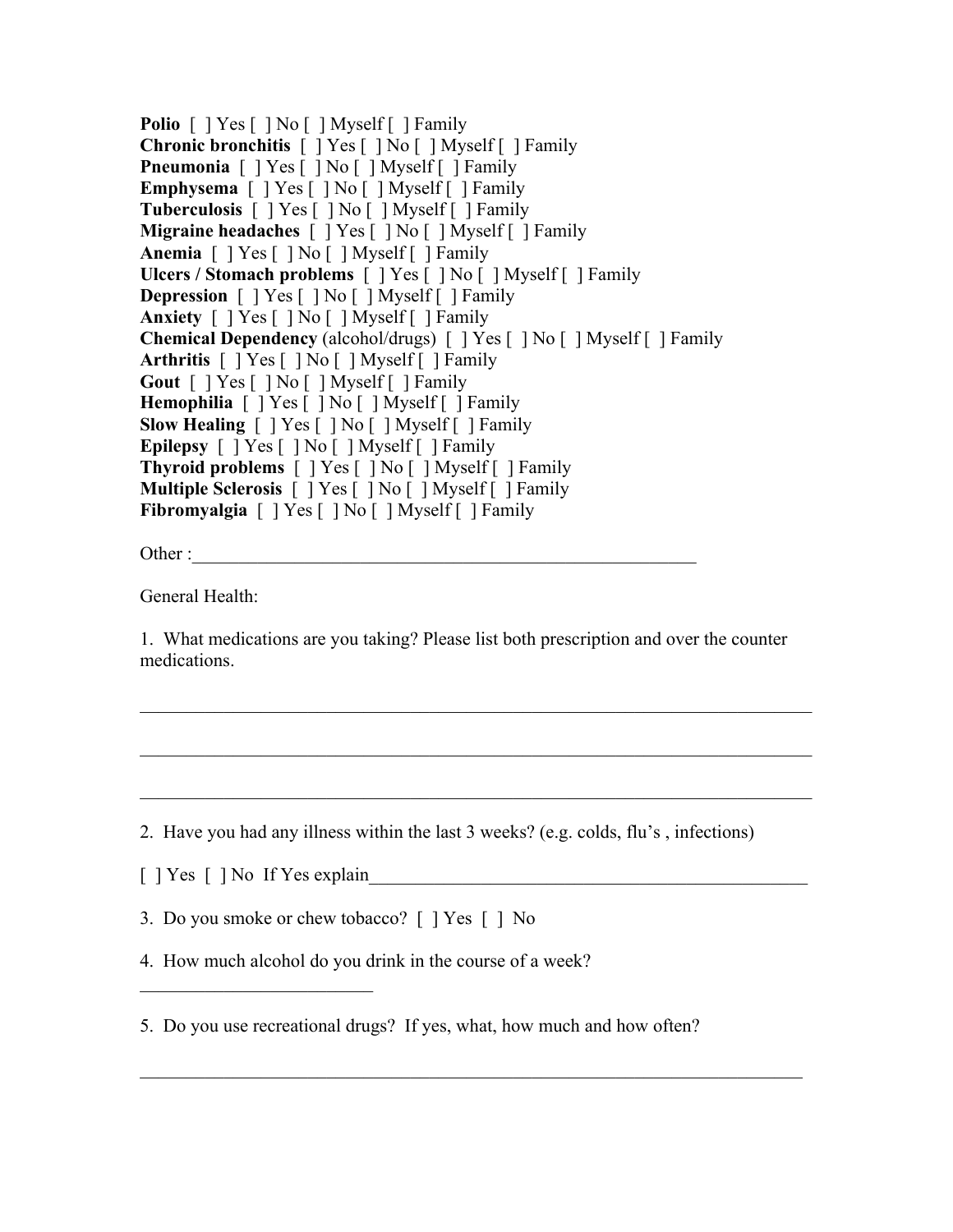Polio  $\lceil$  | Yes  $\lceil$  | No  $\lceil$  | Myself | Family **Chronic bronchitis** [ ] Yes [ ] No [ ] Myself [ ] Family **Pneumonia**  $\lceil \cdot \rceil$  Yes  $\lceil \cdot \rceil$  No  $\lceil \cdot \rceil$  Myself  $\lceil \cdot \rceil$  Family **Emphysema** [ ] Yes [ ] No [ ] Myself [ ] Family **Tuberculosis** [ ] Yes [ ] No [ ] Myself [ ] Family **Migraine headaches** [ ] Yes [ ] No [ ] Myself [ ] Family **Anemia** [ ] Yes [ ] No [ ] Myself [ ] Family **Ulcers / Stomach problems** [ ] Yes [ ] No [ ] Myself [ ] Family **Depression**  $\lceil \cdot \rceil$  Yes  $\lceil \cdot \rceil$  No  $\lceil \cdot \rceil$  Myself  $\lceil \cdot \rceil$  Family **Anxiety** [ ] Yes [ ] No [ ] Myself [ ] Family **Chemical Dependency** (alcohol/drugs) [ ] Yes [ ] No [ ] Myself [ ] Family **Arthritis** [ ] Yes [ ] No [ ] Myself [ ] Family **Gout** [ ] Yes [ ] No [ ] Myself [ ] Family **Hemophilia** [ ] Yes [ ] No [ ] Myself [ ] Family **Slow Healing** [ ] Yes [ ] No [ ] Myself [ ] Family **Epilepsy** [ ] Yes [ ] No [ ] Myself [ ] Family **Thyroid problems** [ ] Yes [ ] No [ ] Myself [ ] Family **Multiple Sclerosis** [ ] Yes [ ] No [ ] Myself [ ] Family **Fibromyalgia** [ ] Yes [ ] No [ ] Myself [ ] Family

Other :

General Health:

1. What medications are you taking? Please list both prescription and over the counter medications.

 $\mathcal{L}_\mathcal{L} = \{ \mathcal{L}_\mathcal{L} = \{ \mathcal{L}_\mathcal{L} = \{ \mathcal{L}_\mathcal{L} = \{ \mathcal{L}_\mathcal{L} = \{ \mathcal{L}_\mathcal{L} = \{ \mathcal{L}_\mathcal{L} = \{ \mathcal{L}_\mathcal{L} = \{ \mathcal{L}_\mathcal{L} = \{ \mathcal{L}_\mathcal{L} = \{ \mathcal{L}_\mathcal{L} = \{ \mathcal{L}_\mathcal{L} = \{ \mathcal{L}_\mathcal{L} = \{ \mathcal{L}_\mathcal{L} = \{ \mathcal{L}_\mathcal{$ 

 $\mathcal{L}_\mathcal{L} = \{ \mathcal{L}_\mathcal{L} = \{ \mathcal{L}_\mathcal{L} = \{ \mathcal{L}_\mathcal{L} = \{ \mathcal{L}_\mathcal{L} = \{ \mathcal{L}_\mathcal{L} = \{ \mathcal{L}_\mathcal{L} = \{ \mathcal{L}_\mathcal{L} = \{ \mathcal{L}_\mathcal{L} = \{ \mathcal{L}_\mathcal{L} = \{ \mathcal{L}_\mathcal{L} = \{ \mathcal{L}_\mathcal{L} = \{ \mathcal{L}_\mathcal{L} = \{ \mathcal{L}_\mathcal{L} = \{ \mathcal{L}_\mathcal{$ 

 $\mathcal{L}_\mathcal{L} = \{ \mathcal{L}_\mathcal{L} = \{ \mathcal{L}_\mathcal{L} = \{ \mathcal{L}_\mathcal{L} = \{ \mathcal{L}_\mathcal{L} = \{ \mathcal{L}_\mathcal{L} = \{ \mathcal{L}_\mathcal{L} = \{ \mathcal{L}_\mathcal{L} = \{ \mathcal{L}_\mathcal{L} = \{ \mathcal{L}_\mathcal{L} = \{ \mathcal{L}_\mathcal{L} = \{ \mathcal{L}_\mathcal{L} = \{ \mathcal{L}_\mathcal{L} = \{ \mathcal{L}_\mathcal{L} = \{ \mathcal{L}_\mathcal{$ 

2. Have you had any illness within the last 3 weeks? (e.g. colds, flu's , infections)

 $\lceil$  | Yes  $\lceil$  | No If Yes explain

\_\_\_\_\_\_\_\_\_\_\_\_\_\_\_\_\_\_\_\_\_\_\_\_\_

3. Do you smoke or chew tobacco? [ ] Yes [ ] No

4. How much alcohol do you drink in the course of a week?

5. Do you use recreational drugs? If yes, what, how much and how often?

 $\_$  , and the set of the set of the set of the set of the set of the set of the set of the set of the set of the set of the set of the set of the set of the set of the set of the set of the set of the set of the set of th